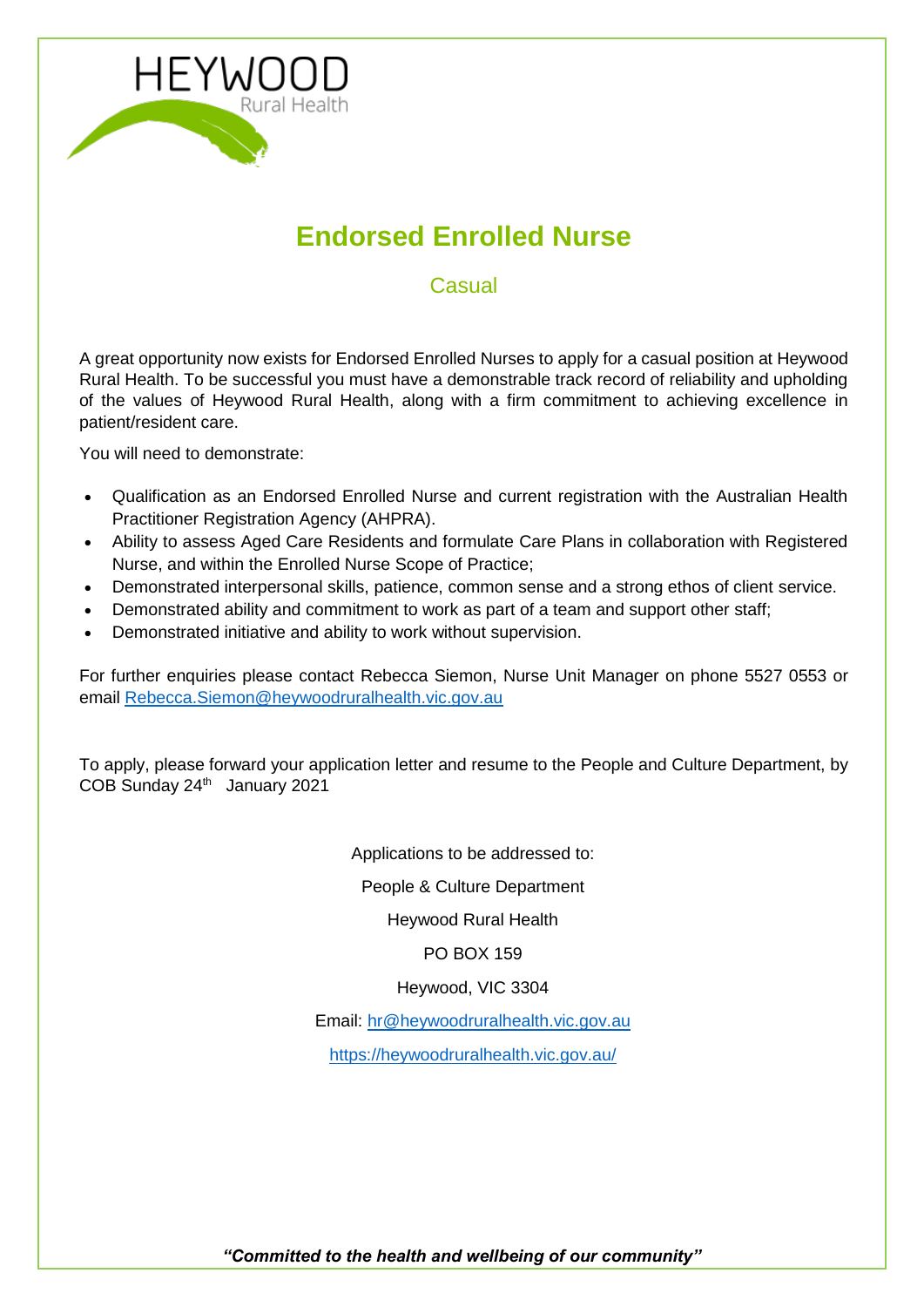

# **Endorsed Enrolled Nurse**

**Casual** 

A great opportunity now exists for Endorsed Enrolled Nurses to apply for a casual position at Heywood Rural Health. To be successful you must have a demonstrable track record of reliability and upholding of the values of Heywood Rural Health, along with a firm commitment to achieving excellence in patient/resident care.

You will need to demonstrate:

- Qualification as an Endorsed Enrolled Nurse and current registration with the Australian Health Practitioner Registration Agency (AHPRA).
- Ability to assess Aged Care Residents and formulate Care Plans in collaboration with Registered Nurse, and within the Enrolled Nurse Scope of Practice;
- Demonstrated interpersonal skills, patience, common sense and a strong ethos of client service.
- Demonstrated ability and commitment to work as part of a team and support other staff;
- Demonstrated initiative and ability to work without supervision.

For further enquiries please contact Rebecca Siemon, Nurse Unit Manager on phone 5527 0553 or email [Rebecca.Siemon@heywoodruralhealth.vic.gov.au](mailto:Rebecca.Siemon@heywoodruralhealth.vic.gov.au)

To apply, please forward your application letter and resume to the People and Culture Department, by COB Sunday 24<sup>th</sup> January 2021

Applications to be addressed to:

People & Culture Department

Heywood Rural Health

PO BOX 159

Heywood, VIC 3304

Email: [hr@heywoodruralhealth.vic.gov.au](mailto:hr@heywoodruralhealth.vic.gov.au)

<https://heywoodruralhealth.vic.gov.au/>

*"Committed to the health and wellbeing of our community"*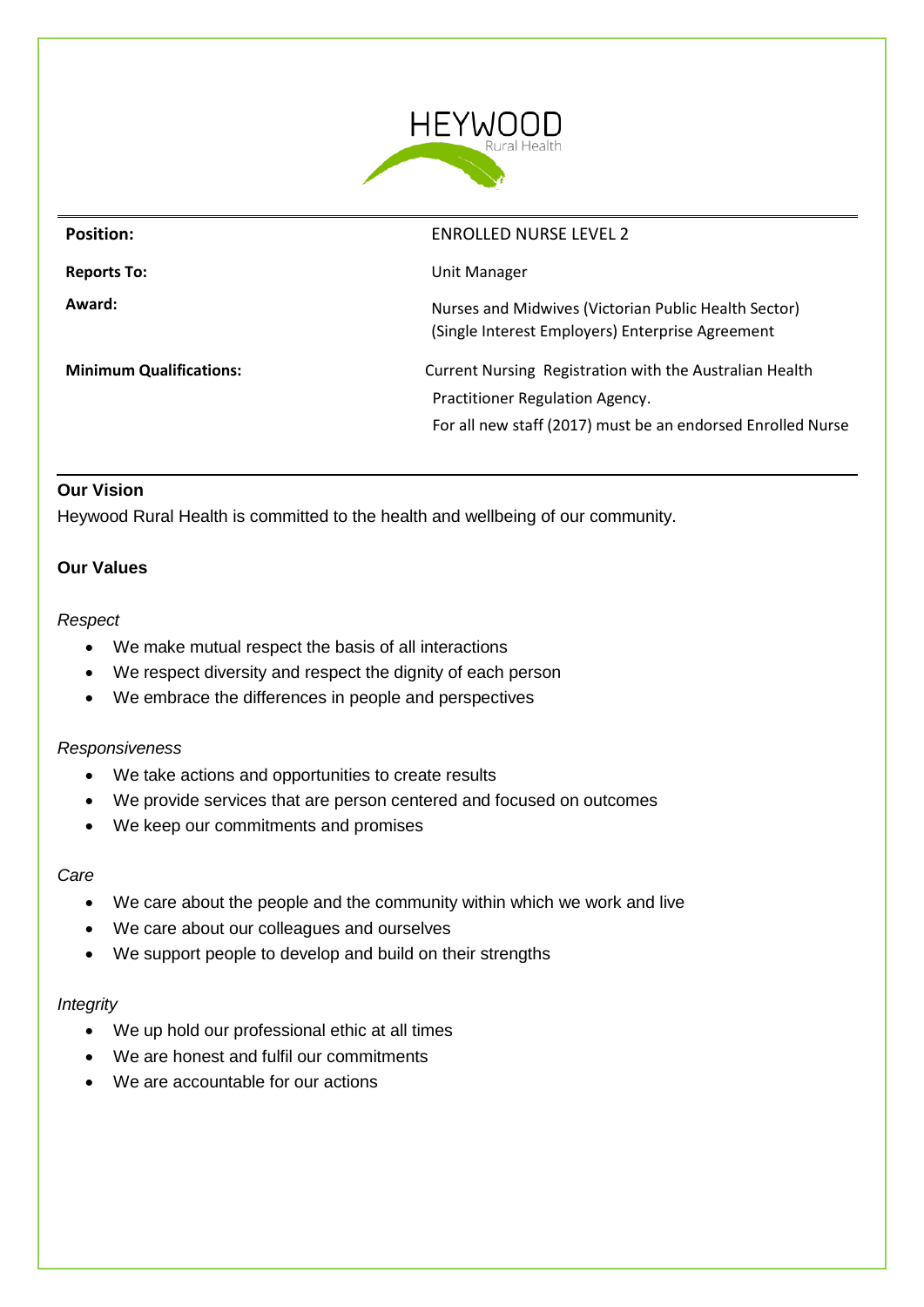

| <b>Position:</b>               | <b>ENROLLED NURSE LEVEL 2</b>                                                                            |
|--------------------------------|----------------------------------------------------------------------------------------------------------|
| <b>Reports To:</b>             | Unit Manager                                                                                             |
| Award:                         | Nurses and Midwives (Victorian Public Health Sector)<br>(Single Interest Employers) Enterprise Agreement |
| <b>Minimum Qualifications:</b> | Current Nursing Registration with the Australian Health<br>Practitioner Regulation Agency.               |
|                                | For all new staff (2017) must be an endorsed Enrolled Nurse                                              |

#### **Our Vision**

Heywood Rural Health is committed to the health and wellbeing of our community.

#### **Our Values**

#### *Respect*

- We make mutual respect the basis of all interactions
- We respect diversity and respect the dignity of each person
- We embrace the differences in people and perspectives

#### *Responsiveness*

- We take actions and opportunities to create results
- We provide services that are person centered and focused on outcomes
- We keep our commitments and promises

#### *Care*

- We care about the people and the community within which we work and live
- We care about our colleagues and ourselves
- We support people to develop and build on their strengths

#### *Integrity*

- We up hold our professional ethic at all times
- We are honest and fulfil our commitments
- We are accountable for our actions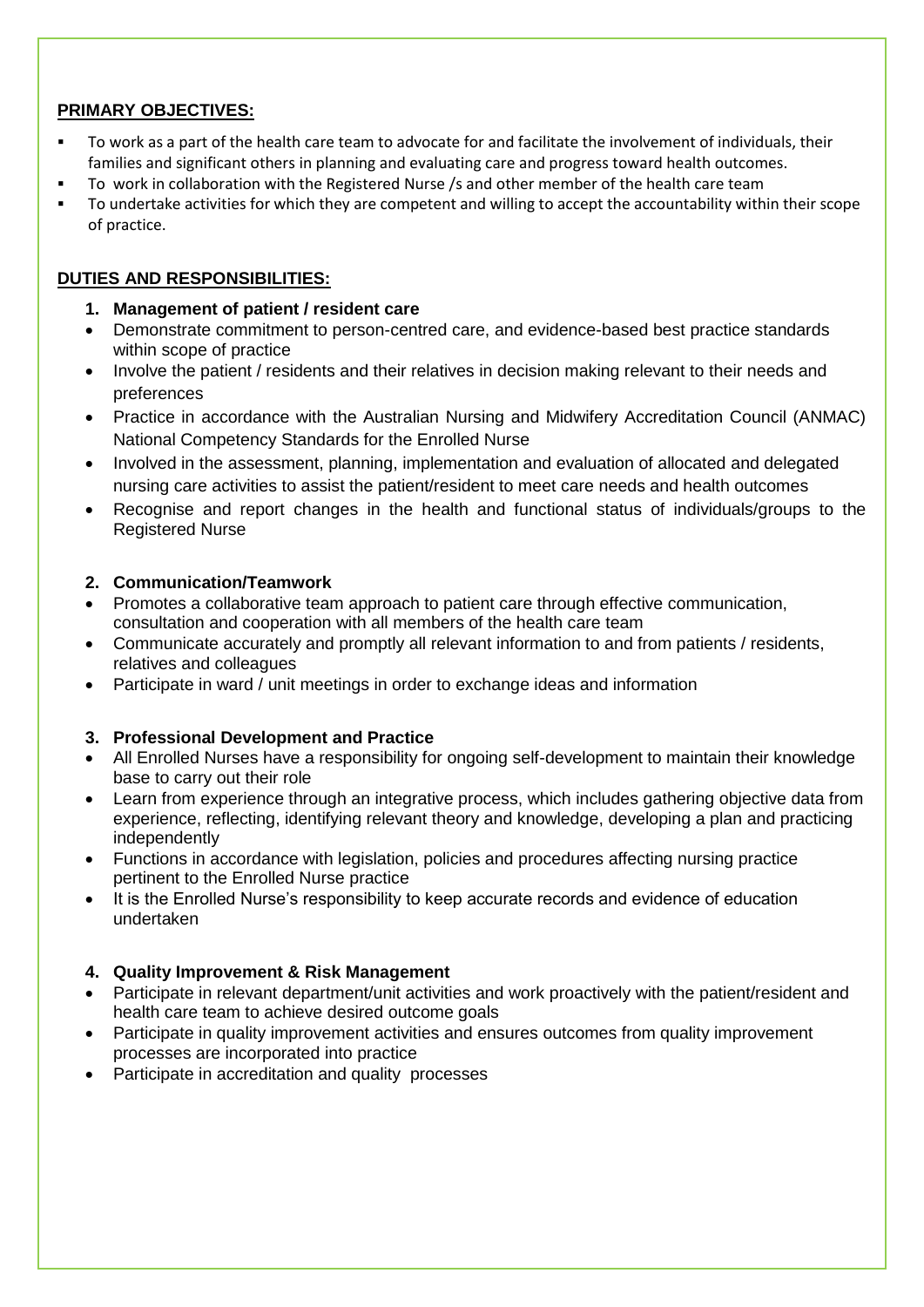## **PRIMARY OBJECTIVES:**

- To work as a part of the health care team to advocate for and facilitate the involvement of individuals, their families and significant others in planning and evaluating care and progress toward health outcomes.
- To work in collaboration with the Registered Nurse /s and other member of the health care team
- To undertake activities for which they are competent and willing to accept the accountability within their scope of practice.

# **DUTIES AND RESPONSIBILITIES:**

- **1. Management of patient / resident care**
- Demonstrate commitment to person-centred care, and evidence-based best practice standards within scope of practice
- Involve the patient / residents and their relatives in decision making relevant to their needs and preferences
- Practice in accordance with the Australian Nursing and Midwifery Accreditation Council (ANMAC) National Competency Standards for the Enrolled Nurse
- Involved in the assessment, planning, implementation and evaluation of allocated and delegated nursing care activities to assist the patient/resident to meet care needs and health outcomes
- Recognise and report changes in the health and functional status of individuals/groups to the Registered Nurse

#### **2. Communication/Teamwork**

- Promotes a collaborative team approach to patient care through effective communication, consultation and cooperation with all members of the health care team
- Communicate accurately and promptly all relevant information to and from patients / residents, relatives and colleagues
- Participate in ward / unit meetings in order to exchange ideas and information

## **3. Professional Development and Practice**

- All Enrolled Nurses have a responsibility for ongoing self-development to maintain their knowledge base to carry out their role
- Learn from experience through an integrative process, which includes gathering objective data from experience, reflecting, identifying relevant theory and knowledge, developing a plan and practicing independently
- Functions in accordance with legislation, policies and procedures affecting nursing practice pertinent to the Enrolled Nurse practice
- It is the Enrolled Nurse's responsibility to keep accurate records and evidence of education undertaken

## **4. Quality Improvement & Risk Management**

- Participate in relevant department/unit activities and work proactively with the patient/resident and health care team to achieve desired outcome goals
- Participate in quality improvement activities and ensures outcomes from quality improvement processes are incorporated into practice
- Participate in accreditation and quality processes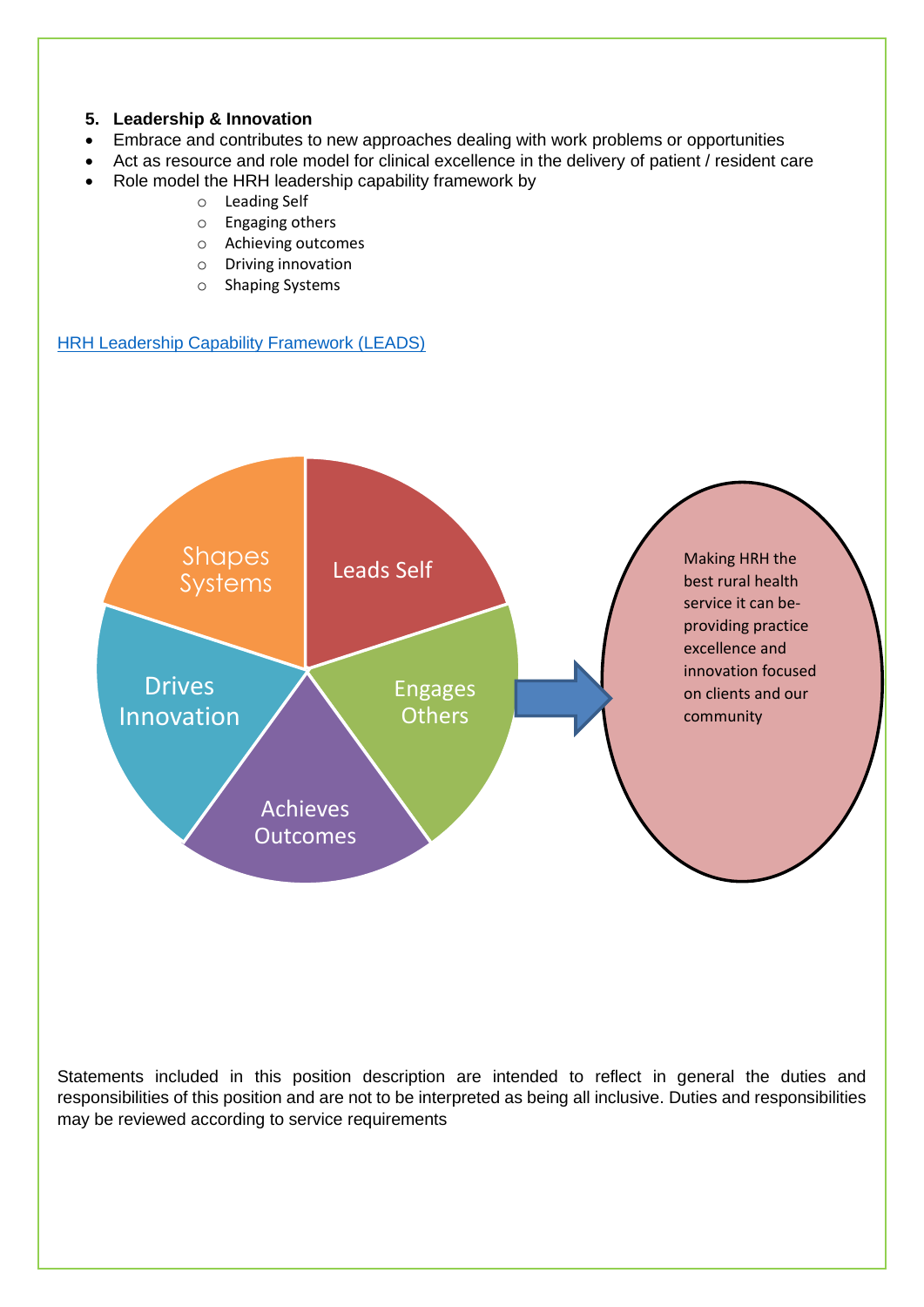#### **5. Leadership & Innovation**

- Embrace and contributes to new approaches dealing with work problems or opportunities
- Act as resource and role model for clinical excellence in the delivery of patient / resident care
- Role model the HRH leadership capability framework by
	- o Leading Self
	- o Engaging others
	- o Achieving outcomes
	- o Driving innovation
	- o Shaping Systems

**[HRH Leadership Capability Framework \(LEADS\)](file://///swisilon-cifs.swarh.net/hrh$/Human%20Resources/Advertising/Capability%20framework/HRH%20Leadership%20Capability%20Framework%202017.docx)** 



Statements included in this position description are intended to reflect in general the duties and responsibilities of this position and are not to be interpreted as being all inclusive. Duties and responsibilities may be reviewed according to service requirements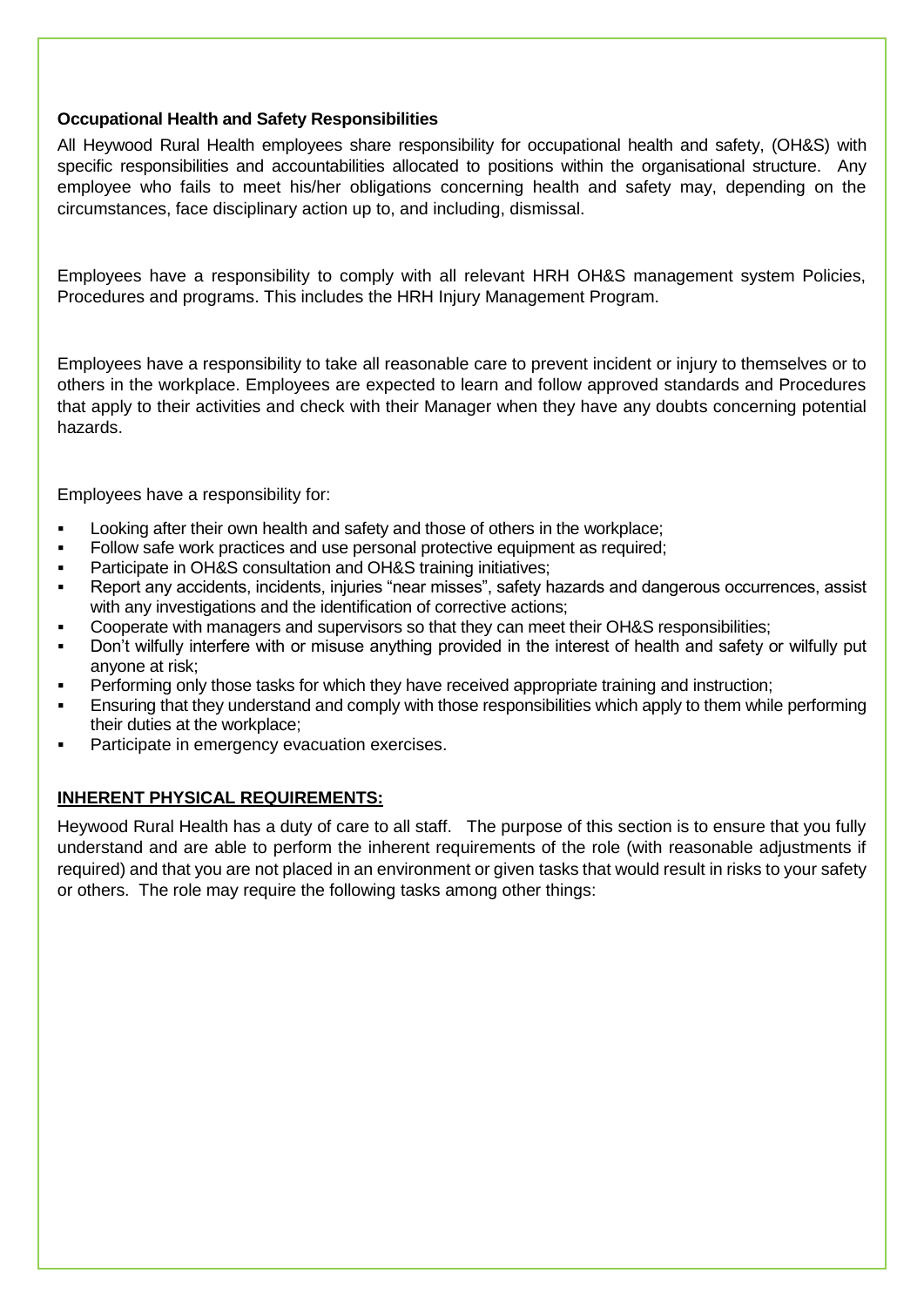#### **Occupational Health and Safety Responsibilities**

All Heywood Rural Health employees share responsibility for occupational health and safety, (OH&S) with specific responsibilities and accountabilities allocated to positions within the organisational structure. Any employee who fails to meet his/her obligations concerning health and safety may, depending on the circumstances, face disciplinary action up to, and including, dismissal.

Employees have a responsibility to comply with all relevant HRH OH&S management system Policies, Procedures and programs. This includes the HRH Injury Management Program.

Employees have a responsibility to take all reasonable care to prevent incident or injury to themselves or to others in the workplace. Employees are expected to learn and follow approved standards and Procedures that apply to their activities and check with their Manager when they have any doubts concerning potential hazards.

Employees have a responsibility for:

- Looking after their own health and safety and those of others in the workplace;
- Follow safe work practices and use personal protective equipment as required;
- Participate in OH&S consultation and OH&S training initiatives;
- Report any accidents, incidents, injuries "near misses", safety hazards and dangerous occurrences, assist with any investigations and the identification of corrective actions;
- Cooperate with managers and supervisors so that they can meet their OH&S responsibilities;
- Don't wilfully interfere with or misuse anything provided in the interest of health and safety or wilfully put anyone at risk;
- Performing only those tasks for which they have received appropriate training and instruction;
- Ensuring that they understand and comply with those responsibilities which apply to them while performing their duties at the workplace;
- Participate in emergency evacuation exercises.

## **INHERENT PHYSICAL REQUIREMENTS:**

Heywood Rural Health has a duty of care to all staff. The purpose of this section is to ensure that you fully understand and are able to perform the inherent requirements of the role (with reasonable adjustments if required) and that you are not placed in an environment or given tasks that would result in risks to your safety or others. The role may require the following tasks among other things: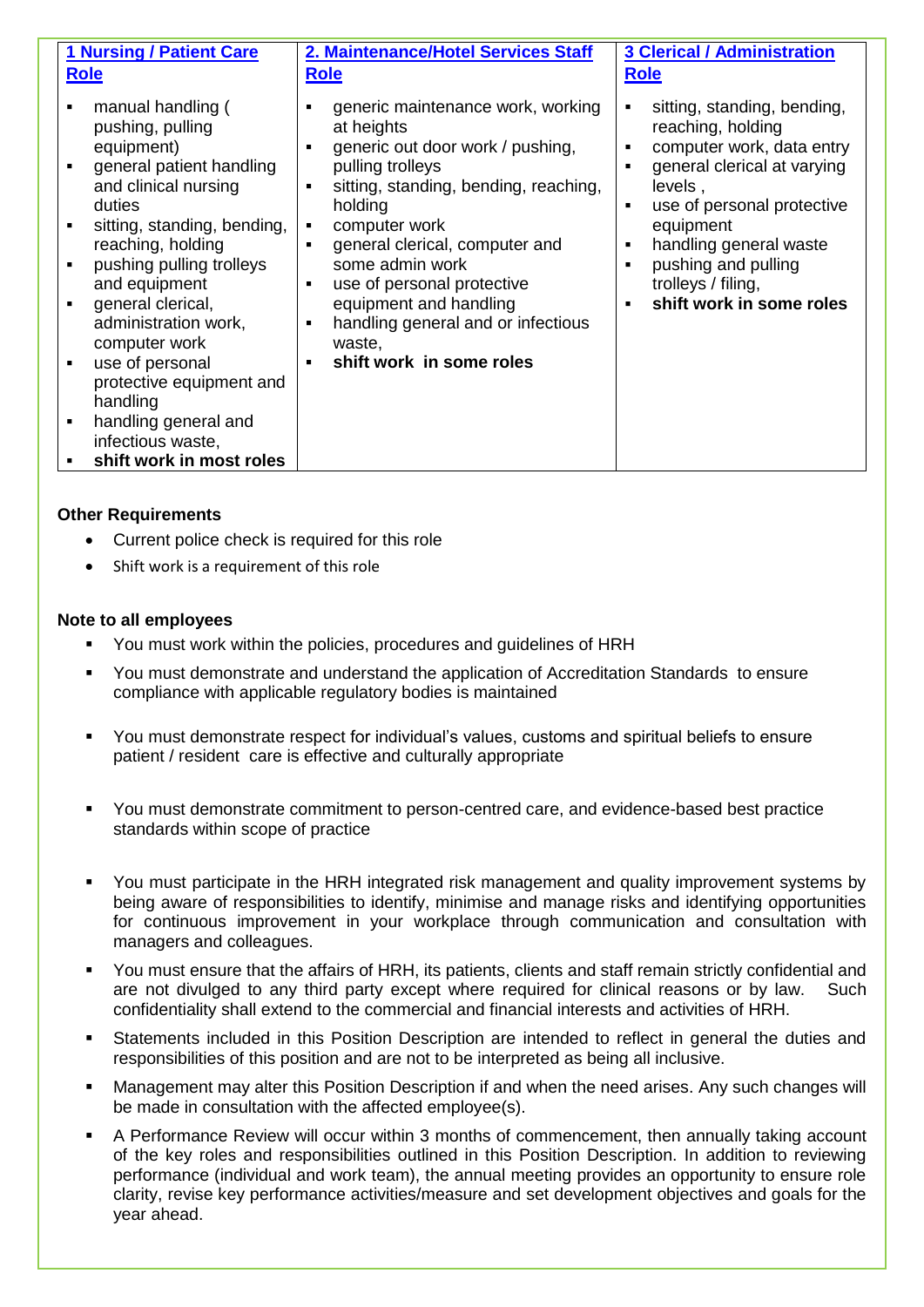| <b>1 Nursing / Patient Care</b>                                                                                                                                                                                                                                                                                                                                                                                                | 2. Maintenance/Hotel Services Staff                                                                                                                                                                                                                                                                                                                                                                                                             | <b>3 Clerical / Administration</b>                                                                                                                                                                                                                                    |
|--------------------------------------------------------------------------------------------------------------------------------------------------------------------------------------------------------------------------------------------------------------------------------------------------------------------------------------------------------------------------------------------------------------------------------|-------------------------------------------------------------------------------------------------------------------------------------------------------------------------------------------------------------------------------------------------------------------------------------------------------------------------------------------------------------------------------------------------------------------------------------------------|-----------------------------------------------------------------------------------------------------------------------------------------------------------------------------------------------------------------------------------------------------------------------|
| <b>Role</b>                                                                                                                                                                                                                                                                                                                                                                                                                    | <b>Role</b>                                                                                                                                                                                                                                                                                                                                                                                                                                     | <b>Role</b>                                                                                                                                                                                                                                                           |
| manual handling (<br>pushing, pulling<br>equipment)<br>general patient handling<br>and clinical nursing<br>duties<br>sitting, standing, bending,<br>reaching, holding<br>pushing pulling trolleys<br>and equipment<br>general clerical,<br>administration work,<br>computer work<br>use of personal<br>protective equipment and<br>handling<br>handling general and<br>٠<br>infectious waste,<br>shift work in most roles<br>٠ | generic maintenance work, working<br>at heights<br>generic out door work / pushing,<br>٠<br>pulling trolleys<br>sitting, standing, bending, reaching,<br>$\blacksquare$<br>holding<br>computer work<br>٠<br>general clerical, computer and<br>$\blacksquare$<br>some admin work<br>use of personal protective<br>$\blacksquare$<br>equipment and handling<br>handling general and or infectious<br>٠<br>waste,<br>shift work in some roles<br>٠ | sitting, standing, bending,<br>reaching, holding<br>computer work, data entry<br>general clerical at varying<br>levels,<br>use of personal protective<br>equipment<br>handling general waste<br>pushing and pulling<br>trolleys / filing,<br>shift work in some roles |

#### **Other Requirements**

- Current police check is required for this role
- Shift work is a requirement of this role

#### **Note to all employees**

- You must work within the policies, procedures and guidelines of HRH
- You must demonstrate and understand the application of Accreditation Standards to ensure compliance with applicable regulatory bodies is maintained
- You must demonstrate respect for individual's values, customs and spiritual beliefs to ensure patient / resident care is effective and culturally appropriate
- You must demonstrate commitment to person-centred care, and evidence-based best practice standards within scope of practice
- You must participate in the HRH integrated risk management and quality improvement systems by being aware of responsibilities to identify, minimise and manage risks and identifying opportunities for continuous improvement in your workplace through communication and consultation with managers and colleagues.
- You must ensure that the affairs of HRH, its patients, clients and staff remain strictly confidential and are not divulged to any third party except where required for clinical reasons or by law. Such confidentiality shall extend to the commercial and financial interests and activities of HRH.
- Statements included in this Position Description are intended to reflect in general the duties and responsibilities of this position and are not to be interpreted as being all inclusive.
- Management may alter this Position Description if and when the need arises. Any such changes will be made in consultation with the affected employee(s).
- A Performance Review will occur within 3 months of commencement, then annually taking account of the key roles and responsibilities outlined in this Position Description. In addition to reviewing performance (individual and work team), the annual meeting provides an opportunity to ensure role clarity, revise key performance activities/measure and set development objectives and goals for the year ahead.